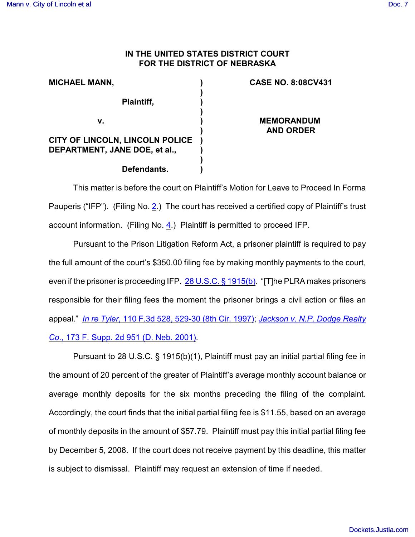## **IN THE UNITED STATES DISTRICT COURT FOR THE DISTRICT OF NEBRASKA**

| <b>MICHAEL MANN,</b>                                                    |  |
|-------------------------------------------------------------------------|--|
| Plaintiff,                                                              |  |
| V.                                                                      |  |
| <b>CITY OF LINCOLN, LINCOLN POLICE</b><br>DEPARTMENT, JANE DOE, et al., |  |
| Defendants.                                                             |  |

## **CASE NO. 8:08CV431**

**MEMORANDUM AND ORDER**

This matter is before the court on Plaintiff's Motion for Leave to Proceed In Forma Pauperis ("IFP"). (Filing No. [2](http://ecf.ned.uscourts.gov/doc1/11301549949).) The court has received a certified copy of Plaintiff's trust account information. (Filing No. [4](http://ecf.ned.uscourts.gov/doc1/11301549959).) Plaintiff is permitted to proceed IFP.

Pursuant to the Prison Litigation Reform Act, a prisoner plaintiff is required to pay the full amount of the court's \$350.00 filing fee by making monthly payments to the court, even if the prisoner is proceeding IFP. [28 U.S.C. § 1915\(b\)](#page-1-0). "[T]he PLRA makes prisoners responsible for their filing fees the moment the prisoner brings a civil action or files an appeal." *In re Tyler*[, 110 F.3d 528, 529-30 \(8th Cir. 1997\)](#page-1-0); *[Jackson v. N.P. Dodge Realty](#page-1-0) Co.*[, 173 F. Supp. 2d 951 \(D. Neb. 2001\)](#page-1-0).

Pursuant to 28 U.S.C. § 1915(b)(1), Plaintiff must pay an initial partial filing fee in the amount of 20 percent of the greater of Plaintiff's average monthly account balance or average monthly deposits for the six months preceding the filing of the complaint. Accordingly, the court finds that the initial partial filing fee is \$11.55, based on an average of monthly deposits in the amount of \$57.79. Plaintiff must pay this initial partial filing fee by December 5, 2008. If the court does not receive payment by this deadline, this matter is subject to dismissal. Plaintiff may request an extension of time if needed.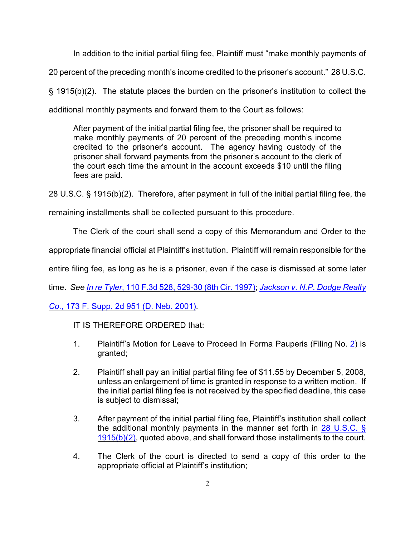In addition to the initial partial filing fee, Plaintiff must "make monthly payments of 20 percent of the preceding month's income credited to the prisoner's account." 28 U.S.C. § 1915(b)(2). The statute places the burden on the prisoner's institution to collect the additional monthly payments and forward them to the Court as follows:

After payment of the initial partial filing fee, the prisoner shall be required to make monthly payments of 20 percent of the preceding month's income credited to the prisoner's account. The agency having custody of the prisoner shall forward payments from the prisoner's account to the clerk of the court each time the amount in the account exceeds \$10 until the filing fees are paid.

28 U.S.C. § 1915(b)(2). Therefore, after payment in full of the initial partial filing fee, the

remaining installments shall be collected pursuant to this procedure.

The Clerk of the court shall send a copy of this Memorandum and Order to the

appropriate financial official at Plaintiff's institution. Plaintiff will remain responsible for the

entire filing fee, as long as he is a prisoner, even if the case is dismissed at some later

time. *See In re Tyler*[, 110 F.3d 528, 529-30 \(8th Cir. 1997\)](#page-1-0); *[Jackson v. N.P. Dodge Realty](#page-1-0)*

*Co.*[, 173 F. Supp. 2d 951 \(D. Neb. 2001\)](#page-1-0).

IT IS THEREFORE ORDERED that:

- 1. Plaintiff's Motion for Leave to Proceed In Forma Pauperis (Filing No. [2](http://ecf.ned.uscourts.gov/doc1/11301549949)) is granted;
- 2. Plaintiff shall pay an initial partial filing fee of \$11.55 by December 5, 2008, unless an enlargement of time is granted in response to a written motion. If the initial partial filing fee is not received by the specified deadline, this case is subject to dismissal;
- 3. After payment of the initial partial filing fee, Plaintiff's institution shall collect the additional monthly payments in the manner set forth in [28 U.S.C. §](#page-1-0) [1915\(b\)\(2\)](#page-1-0), quoted above, and shall forward those installments to the court.
- <span id="page-1-0"></span>4. The Clerk of the court is directed to send a copy of this order to the appropriate official at Plaintiff's institution;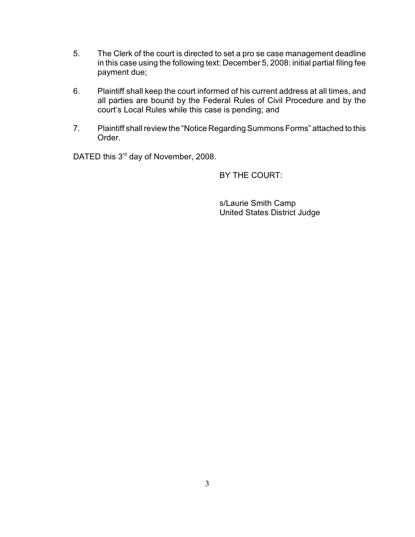- 5. The Clerk of the court is directed to set a pro se case management deadline in this case using the following text: December 5, 2008: initial partial filing fee payment due;
- 6. Plaintiff shall keep the court informed of his current address at all times, and all parties are bound by the Federal Rules of Civil Procedure and by the court's Local Rules while this case is pending; and
- 7. Plaintiff shall review the "Notice Regarding Summons Forms" attached to this Order.

DATED this  $3<sup>rd</sup>$  day of November, 2008.

BY THE COURT:

s/Laurie Smith Camp United States District Judge